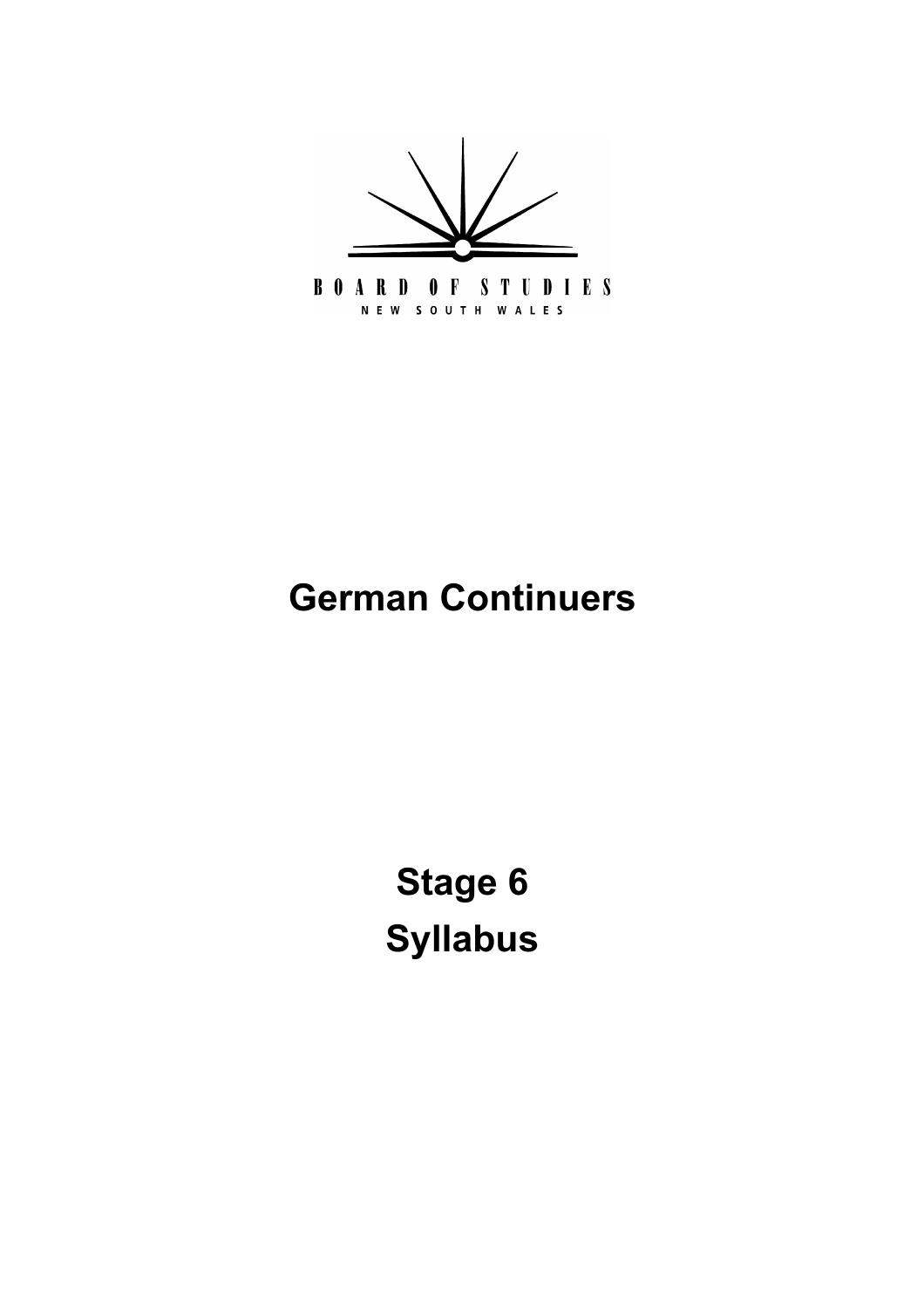

# **German Continuers**

**[Stage 6](#page-5-0) Syllabus**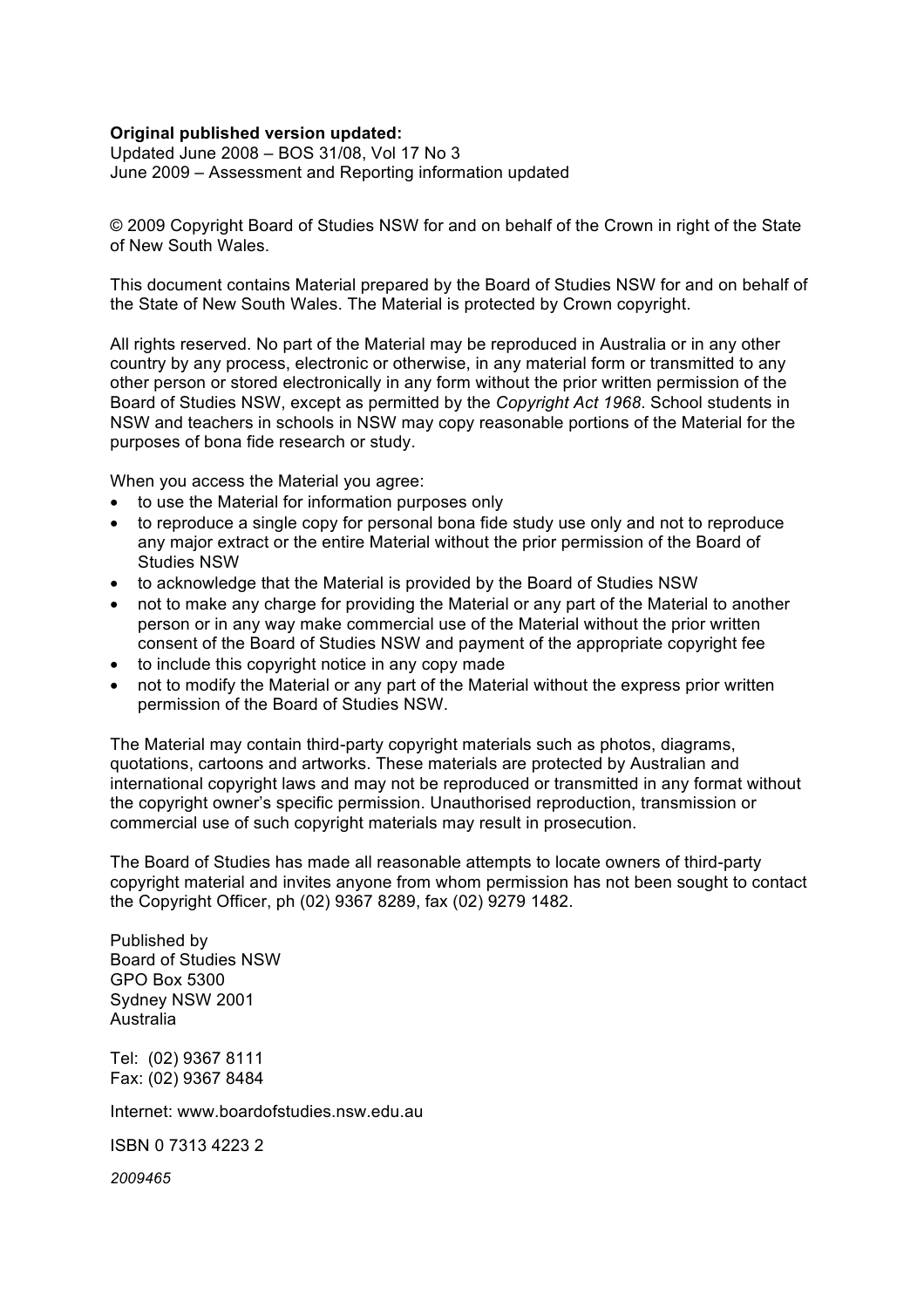#### **Original published version updated:**

 Updated June 2008 – BOS 31/08, Vol 17 No 3 June 2009 – Assessment and Reporting information updated

 © 2009 Copyright Board of Studies NSW for and on behalf of the Crown in right of the State of New South Wales.

 This document contains Material prepared by the Board of Studies NSW for and on behalf of the State of New South Wales. The Material is protected by Crown copyright.

 All rights reserved. No part of the Material may be reproduced in Australia or in any other country by any process, electronic or otherwise, in any material form or transmitted to any other person or stored electronically in any form without the prior written permission of the Board of Studies NSW, except as permitted by the *Copyright Act 1968*. School students in NSW and teachers in schools in NSW may copy reasonable portions of the Material for the purposes of bona fide research or study.

When you access the Material you agree:

 to use the Material for information purposes only

 any major extract or the entire Material without the prior permission of the Board of Studies NSW to reproduce a single copy for personal bona fide study use only and not to reproduce

 person or in any way make commercial use of the Material without the prior written consent of the Board of Studies NSW and payment of the appropriate copyright fee to acknowledge that the Material is provided by the Board of Studies NSW not to make any charge for providing the Material or any part of the Material to another to include this copyright notice in any copy made

 permission of the Board of Studies NSW. not to modify the Material or any part of the Material without the express prior written

 The Material may contain third-party copyright materials such as photos, diagrams, quotations, cartoons and artworks. These materials are protected by Australian and international copyright laws and may not be reproduced or transmitted in any format without the copyright owner's specific permission. Unauthorised reproduction, transmission or commercial use of such copyright materials may result in prosecution.

 The Board of Studies has made all reasonable attempts to locate owners of third-party copyright material and invites anyone from whom permission has not been sought to contact the Copyright Officer, ph (02) 9367 8289, fax (02) 9279 1482.

 Published by Board of Studies NSW GPO Box 5300 Sydney NSW 2001 Australia Australia<br>Tel: (02) 9367 8111

Fax: (02) 9367 8484

Internet: www.boardofstudies.nsw.edu.au

ISBN 0 7313 4223 2

*2009465*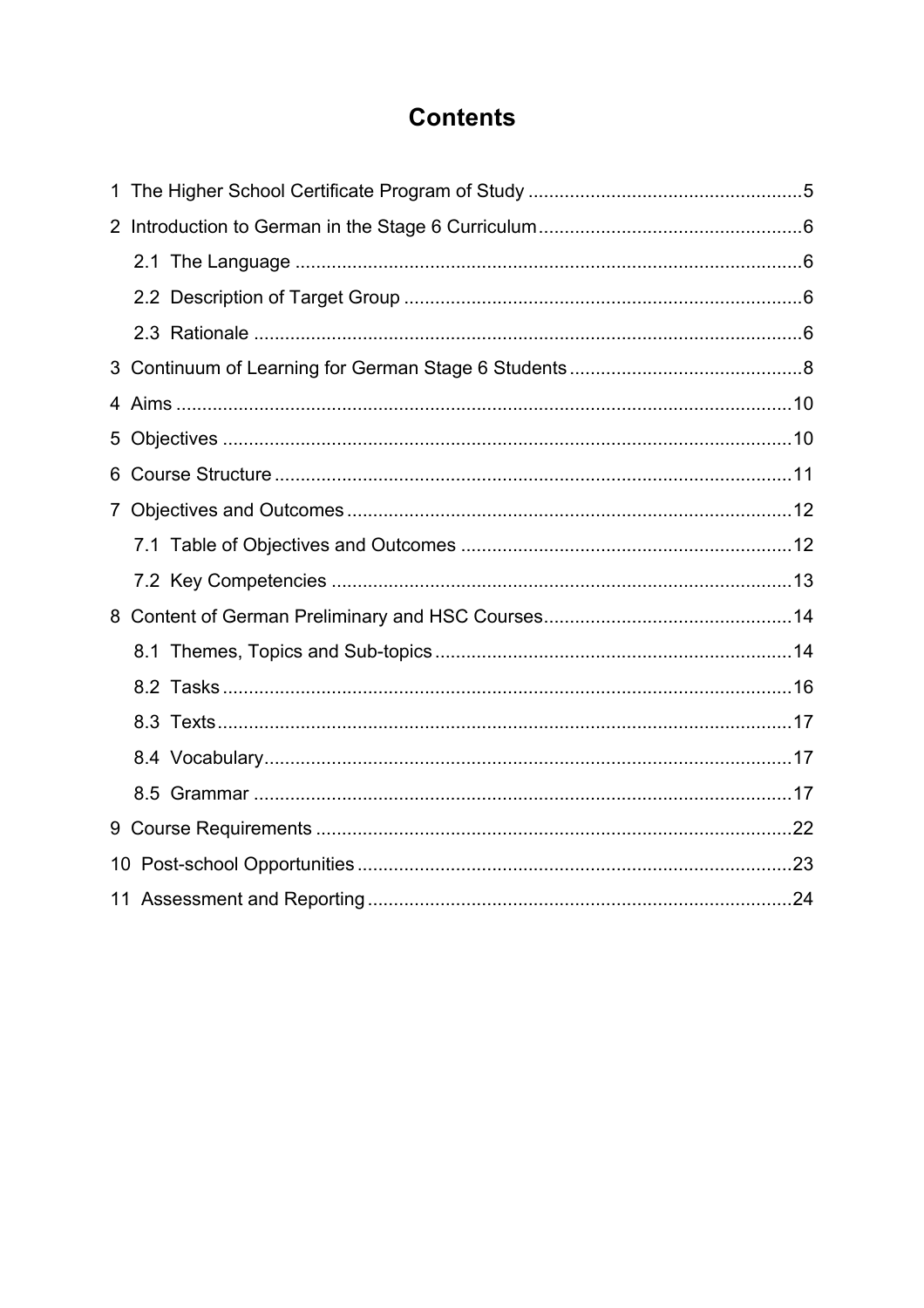# **Contents**

| 6.              |  |
|-----------------|--|
|                 |  |
|                 |  |
|                 |  |
|                 |  |
|                 |  |
|                 |  |
|                 |  |
|                 |  |
|                 |  |
|                 |  |
| 10 <sup>°</sup> |  |
|                 |  |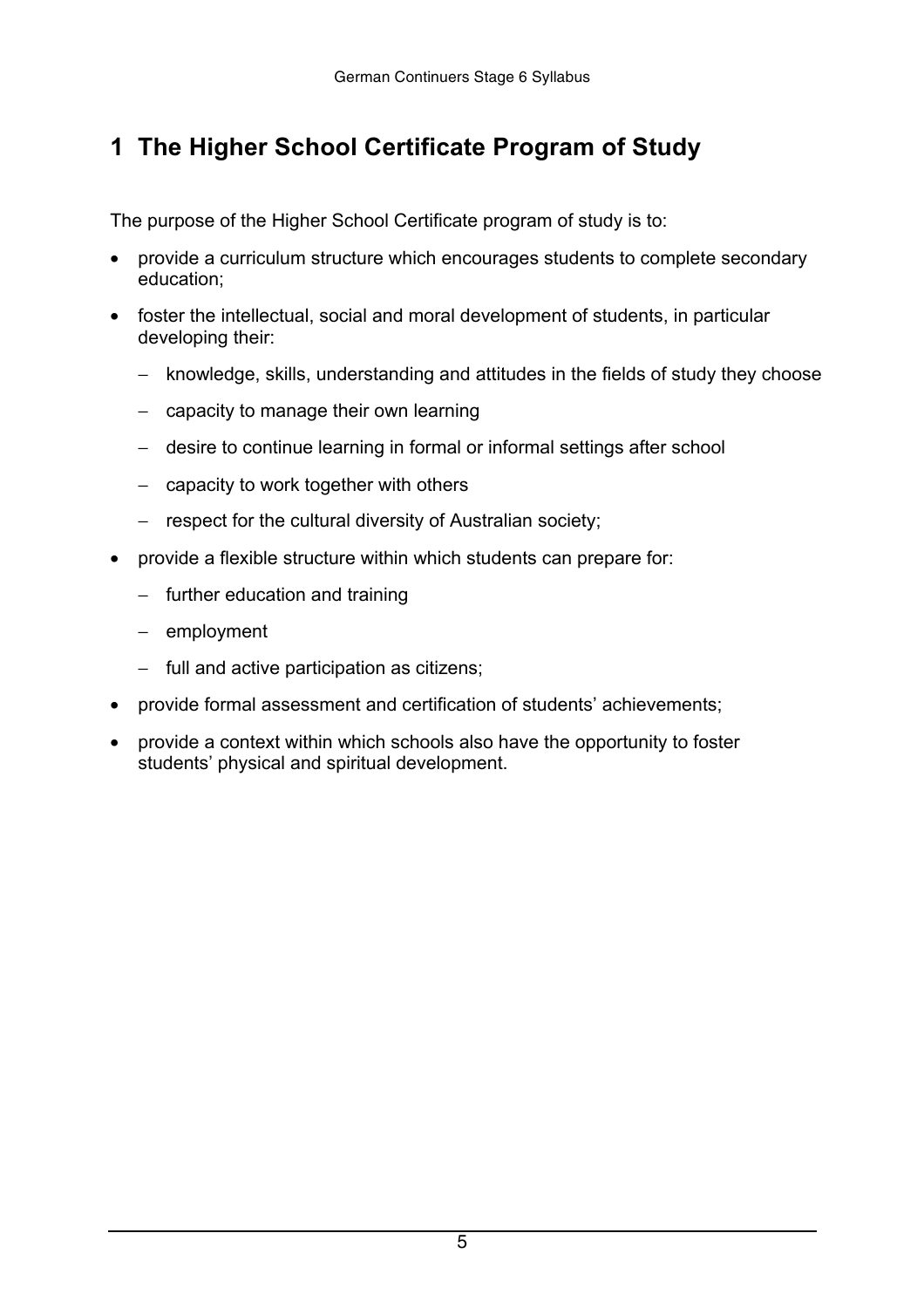# <span id="page-4-0"></span> **1 The Higher School Certificate Program of Study**

The purpose of the Higher School Certificate program of study is to:

 provide a curriculum structure which encourages students to complete secondary education;

 foster the intellectual, social and moral development of students, in particular developing their:

- − knowledge, skills, understanding and attitudes in the fields of study they choose
- − capacity to manage their own learning
- − desire to continue learning in formal or informal settings after school
- − capacity to work together with others
- − respect for the cultural diversity of Australian society;

 provide a flexible structure within which students can prepare for:

- − further education and training
- − employment
- − full and active participation as citizens;

 provide formal assessment and certification of students' achievements;

 provide a context within which schools also have the opportunity to foster students' physical and spiritual development.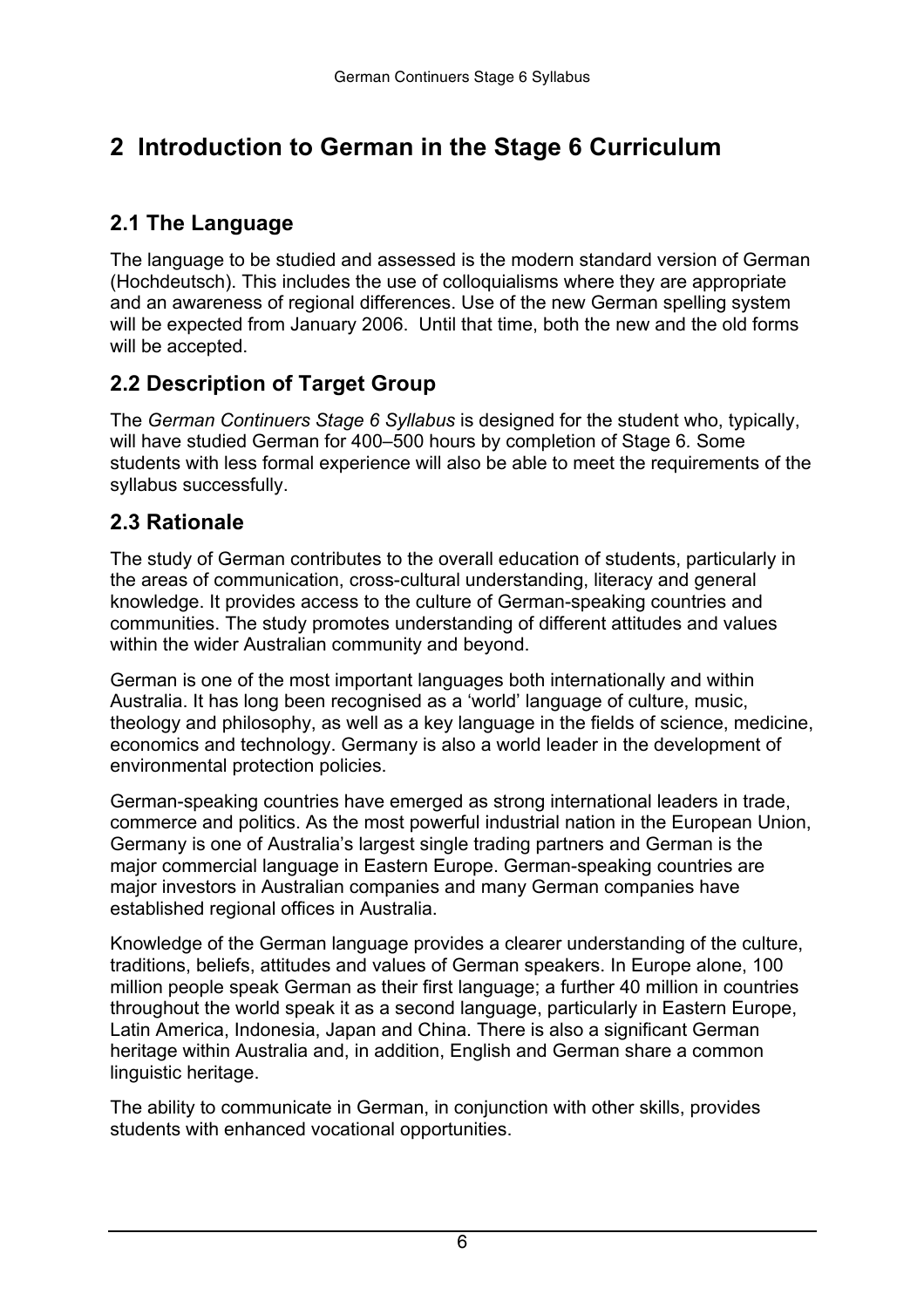# <span id="page-5-0"></span> **2 Introduction to German in the Stage 6 Curriculum**

### **2.1 The Language**

The language to be studied and assessed is the modern standard version of German (Hochdeutsch). This includes the use of colloquialisms where they are appropriate and an awareness of regional differences. Use of the new German spelling system will be expected from January 2006. Until that time, both the new and the old forms will be accepted.

### **2.2 Description of Target Group**

The *German Continuers Stage 6 Syllabus* is designed for the student who, typically, will have studied German for 400–500 hours by completion of Stage 6*.* Some students with less formal experience will also be able to meet the requirements of the syllabus successfully.

### **2.3 Rationale**

The study of German contributes to the overall education of students, particularly in the areas of communication, cross-cultural understanding, literacy and general knowledge. It provides access to the culture of German-speaking countries and communities. The study promotes understanding of different attitudes and values within the wider Australian community and beyond.

German is one of the most important languages both internationally and within Australia. It has long been recognised as a 'world' language of culture, music, theology and philosophy, as well as a key language in the fields of science, medicine, economics and technology. Germany is also a world leader in the development of environmental protection policies.

German-speaking countries have emerged as strong international leaders in trade, commerce and politics. As the most powerful industrial nation in the European Union, Germany is one of Australia's largest single trading partners and German is the major commercial language in Eastern Europe. German-speaking countries are major investors in Australian companies and many German companies have established regional offices in Australia.

Knowledge of the German language provides a clearer understanding of the culture, traditions, beliefs, attitudes and values of German speakers. In Europe alone, 100 million people speak German as their first language; a further 40 million in countries throughout the world speak it as a second language, particularly in Eastern Europe, Latin America, Indonesia, Japan and China. There is also a significant German heritage within Australia and, in addition, English and German share a common linguistic heritage.

The ability to communicate in German, in conjunction with other skills, provides students with enhanced vocational opportunities.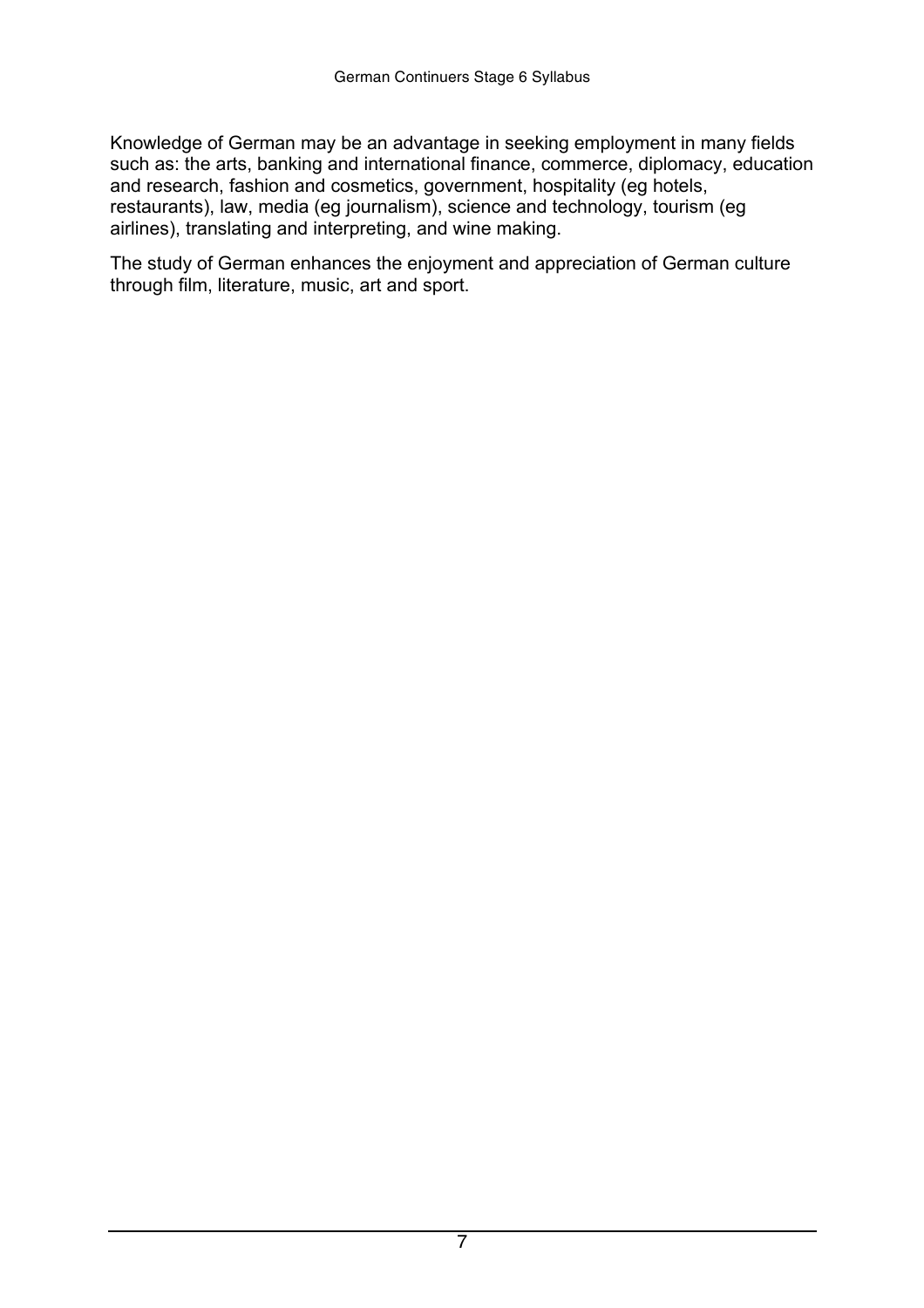Knowledge of German may be an advantage in seeking employment in many fields such as: the arts, banking and international finance, commerce, diplomacy, education and research, fashion and cosmetics, government, hospitality (eg hotels, restaurants), law, media (eg journalism), science and technology, tourism (eg airlines), translating and interpreting, and wine making.

The study of German enhances the enjoyment and appreciation of German culture through film, literature, music, art and sport.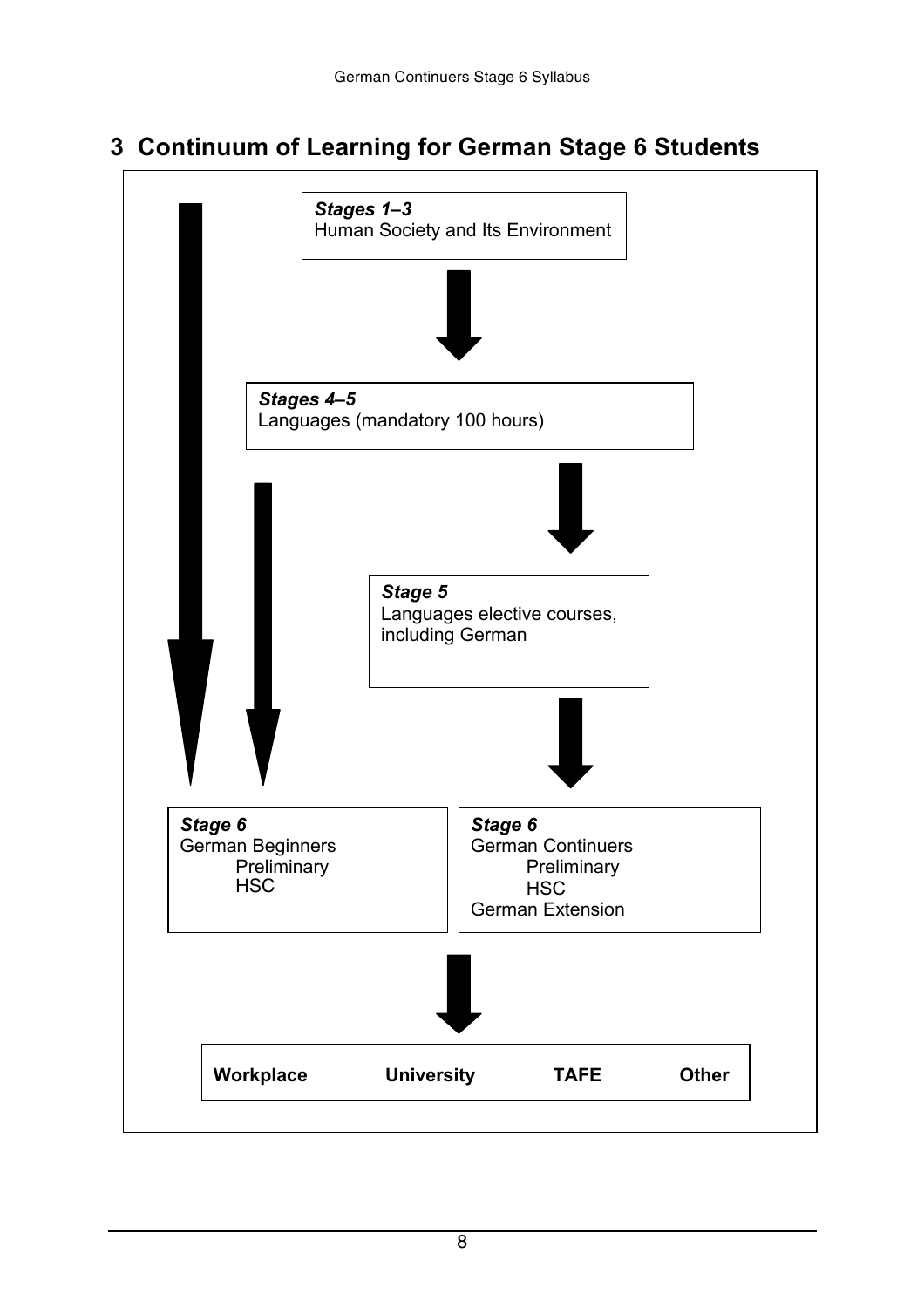# <span id="page-7-0"></span> **3 Continuum of Learning for German Stage 6 Students**

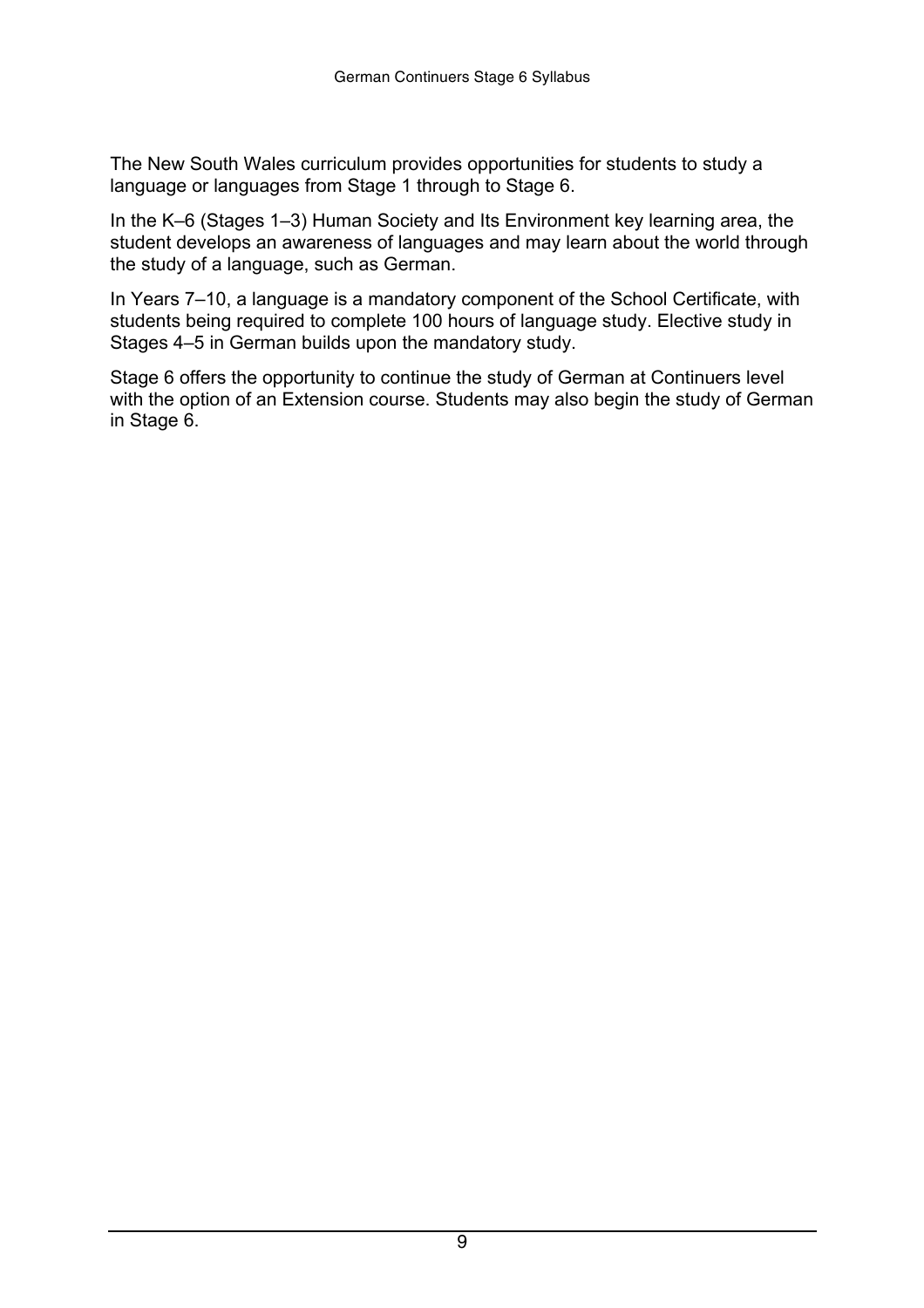The New South Wales curriculum provides opportunities for students to study a language or languages from Stage 1 through to Stage 6.

In the K–6 (Stages 1–3) Human Society and Its Environment key learning area, the student develops an awareness of languages and may learn about the world through the study of a language, such as German.

In Years 7–10, a language is a mandatory component of the School Certificate, with students being required to complete 100 hours of language study. Elective study in Stages 4–5 in German builds upon the mandatory study.

Stage 6 offers the opportunity to continue the study of German at Continuers level with the option of an Extension course. Students may also begin the study of German in Stage 6.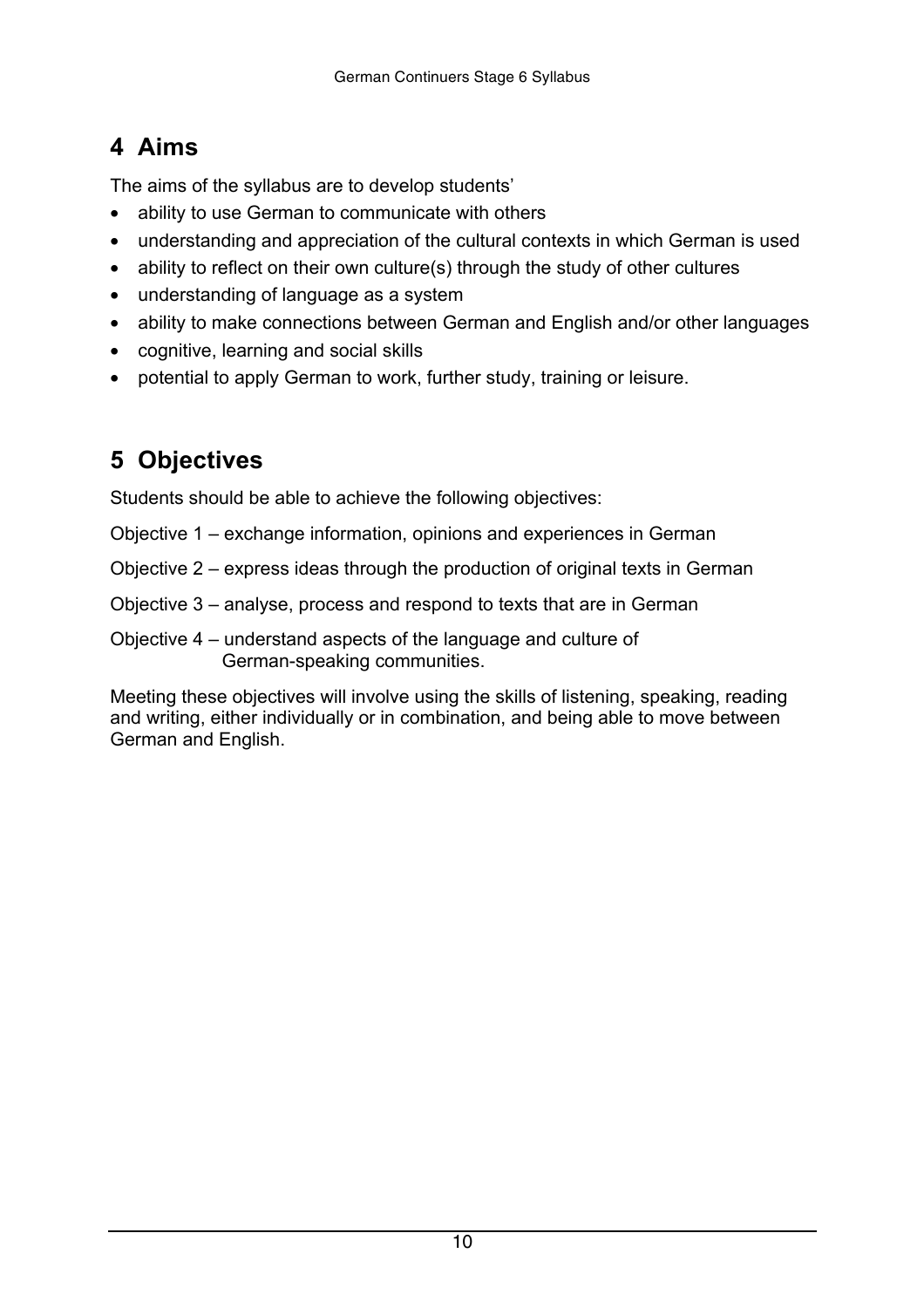# <span id="page-9-0"></span> **4 Aims**

The aims of the syllabus are to develop students'

ability to use German to communicate with others

understanding and appreciation of the cultural contexts in which German is used ability to reflect on their own culture(s) through the study of other cultures understanding of language as a system

ability to make connections between German and English and/or other languages cognitive, learning and social skills

potential to apply German to work, further study, training or leisure.

# **5 Objectives**

Students should be able to achieve the following objectives:

- Objective 1 exchange information, opinions and experiences in German
- Objective 2 express ideas through the production of original texts in German
- Objective 3 analyse, process and respond to texts that are in German
- Objective 4 understand aspects of the language and culture of German-speaking communities.

Meeting these objectives will involve using the skills of listening, speaking, reading and writing, either individually or in combination, and being able to move between German and English.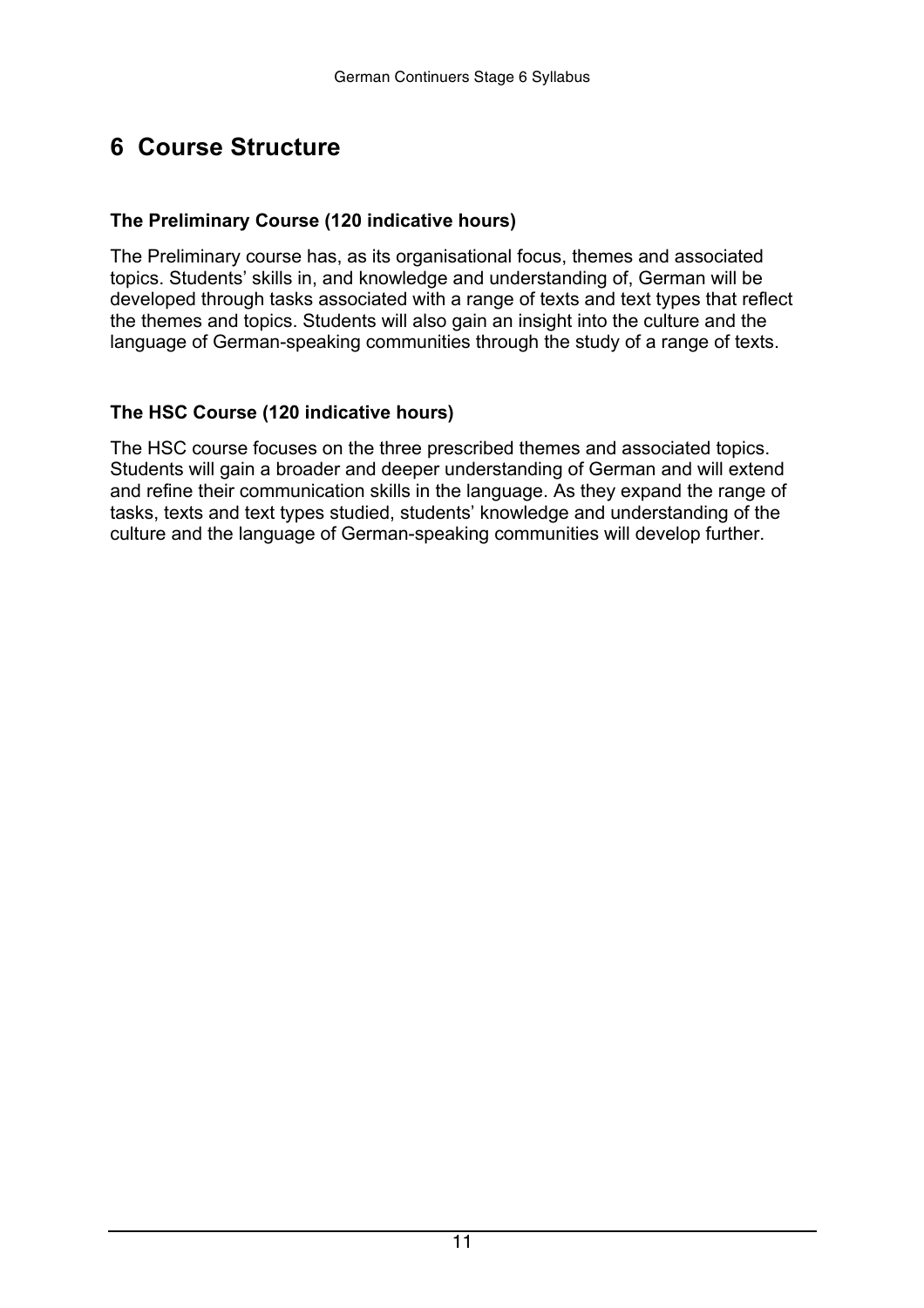## <span id="page-10-0"></span> **6 Course Structure**

#### **The Preliminary Course (120 indicative hours)**

The Preliminary course has, as its organisational focus, themes and associated topics. Students' skills in, and knowledge and understanding of, German will be developed through tasks associated with a range of texts and text types that reflect the themes and topics. Students will also gain an insight into the culture and the language of German-speaking communities through the study of a range of texts.

#### **The HSC Course (120 indicative hours)**

The HSC course focuses on the three prescribed themes and associated topics. Students will gain a broader and deeper understanding of German and will extend and refine their communication skills in the language. As they expand the range of tasks, texts and text types studied, students' knowledge and understanding of the culture and the language of German-speaking communities will develop further.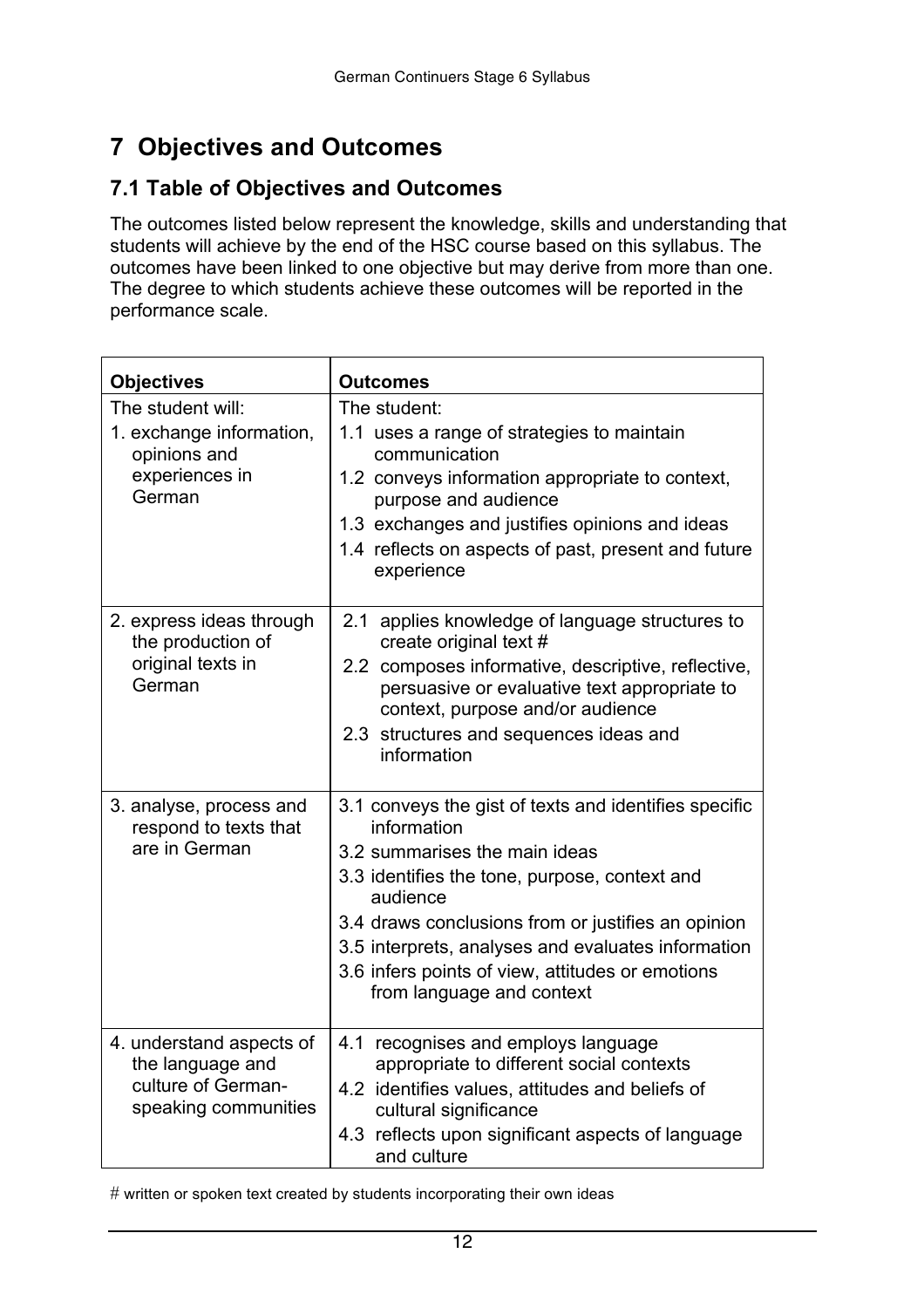# **7 Objectives and Outcomes**

#### **7.1 Table of Objectives and Outcomes**

The outcomes listed below represent the knowledge, skills and understanding that students will achieve by the end of the HSC course based on this syllabus. The outcomes have been linked to one objective but may derive from more than one. The degree to which students achieve these outcomes will be reported in the performance scale.

| <b>Objectives</b>                                                                          | <b>Outcomes</b>                                                                                                                                                                                                                                                                                                                                                 |  |
|--------------------------------------------------------------------------------------------|-----------------------------------------------------------------------------------------------------------------------------------------------------------------------------------------------------------------------------------------------------------------------------------------------------------------------------------------------------------------|--|
| The student will:<br>1. exchange information,<br>opinions and<br>experiences in<br>German  | The student:<br>1.1 uses a range of strategies to maintain<br>communication<br>1.2 conveys information appropriate to context,<br>purpose and audience<br>1.3 exchanges and justifies opinions and ideas<br>1.4 reflects on aspects of past, present and future<br>experience                                                                                   |  |
| 2. express ideas through<br>the production of<br>original texts in<br>German               | 2.1 applies knowledge of language structures to<br>create original text #<br>2.2 composes informative, descriptive, reflective,<br>persuasive or evaluative text appropriate to<br>context, purpose and/or audience<br>2.3 structures and sequences ideas and<br>information                                                                                    |  |
| 3. analyse, process and<br>respond to texts that<br>are in German                          | 3.1 conveys the gist of texts and identifies specific<br>information<br>3.2 summarises the main ideas<br>3.3 identifies the tone, purpose, context and<br>audience<br>3.4 draws conclusions from or justifies an opinion<br>3.5 interprets, analyses and evaluates information<br>3.6 infers points of view, attitudes or emotions<br>from language and context |  |
| 4. understand aspects of<br>the language and<br>culture of German-<br>speaking communities | 4.1 recognises and employs language<br>appropriate to different social contexts<br>4.2 identifies values, attitudes and beliefs of<br>cultural significance<br>4.3 reflects upon significant aspects of language<br>and culture                                                                                                                                 |  |

 $\#$  written or spoken text created by students incorporating their own ideas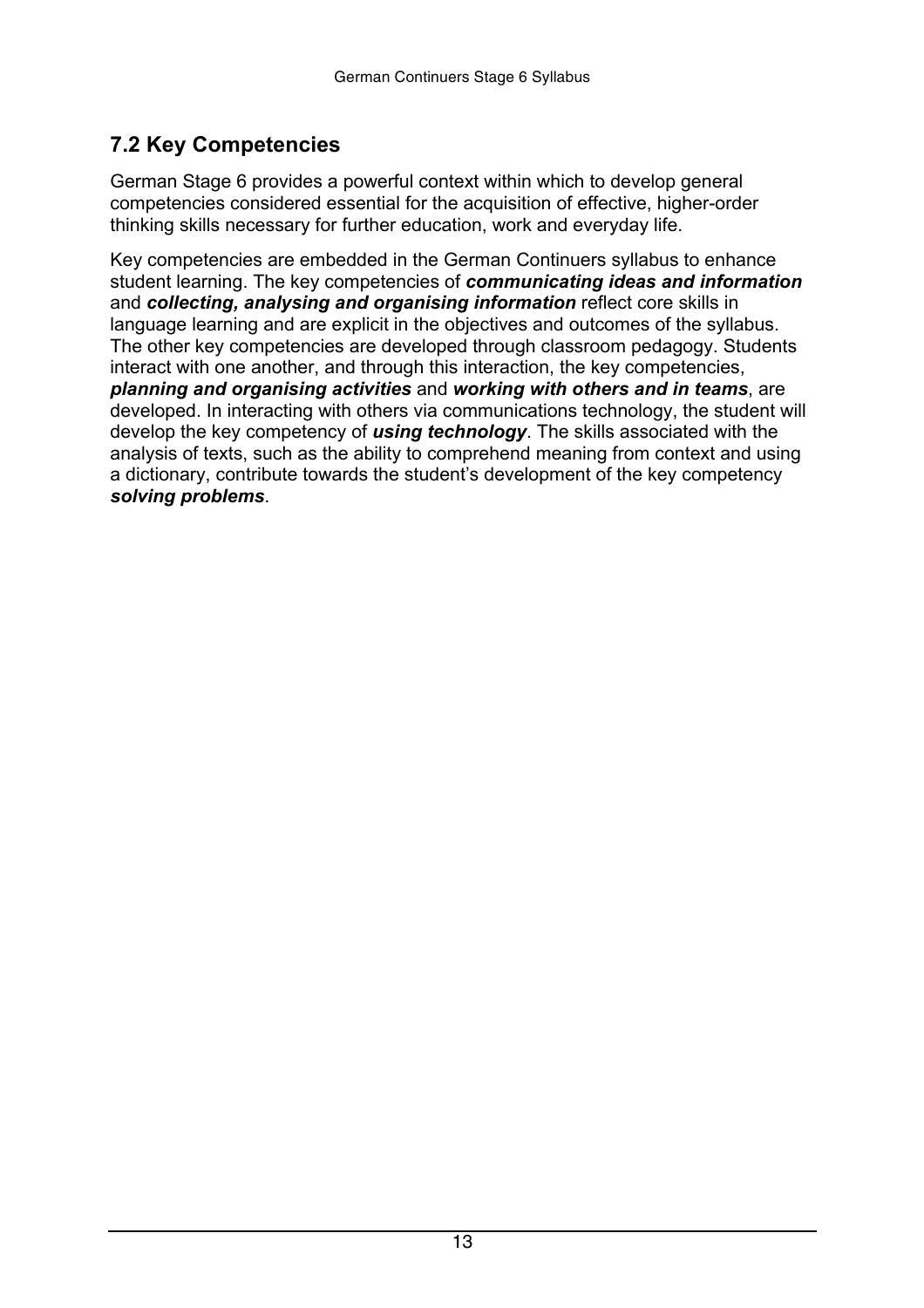### <span id="page-12-0"></span> **7.2 Key Competencies**

German Stage 6 provides a powerful context within which to develop general competencies considered essential for the acquisition of effective, higher-order thinking skills necessary for further education, work and everyday life.

Key competencies are embedded in the German Continuers syllabus to enhance student learning. The key competencies of *communicating ideas and information*  and *collecting, analysing and organising information* reflect core skills in language learning and are explicit in the objectives and outcomes of the syllabus. The other key competencies are developed through classroom pedagogy. Students interact with one another, and through this interaction, the key competencies, *planning and organising activities* and *working with others and in teams*, are developed. In interacting with others via communications technology, the student will develop the key competency of *using technology*. The skills associated with the analysis of texts, such as the ability to comprehend meaning from context and using a dictionary, contribute towards the student's development of the key competency *solving problems*.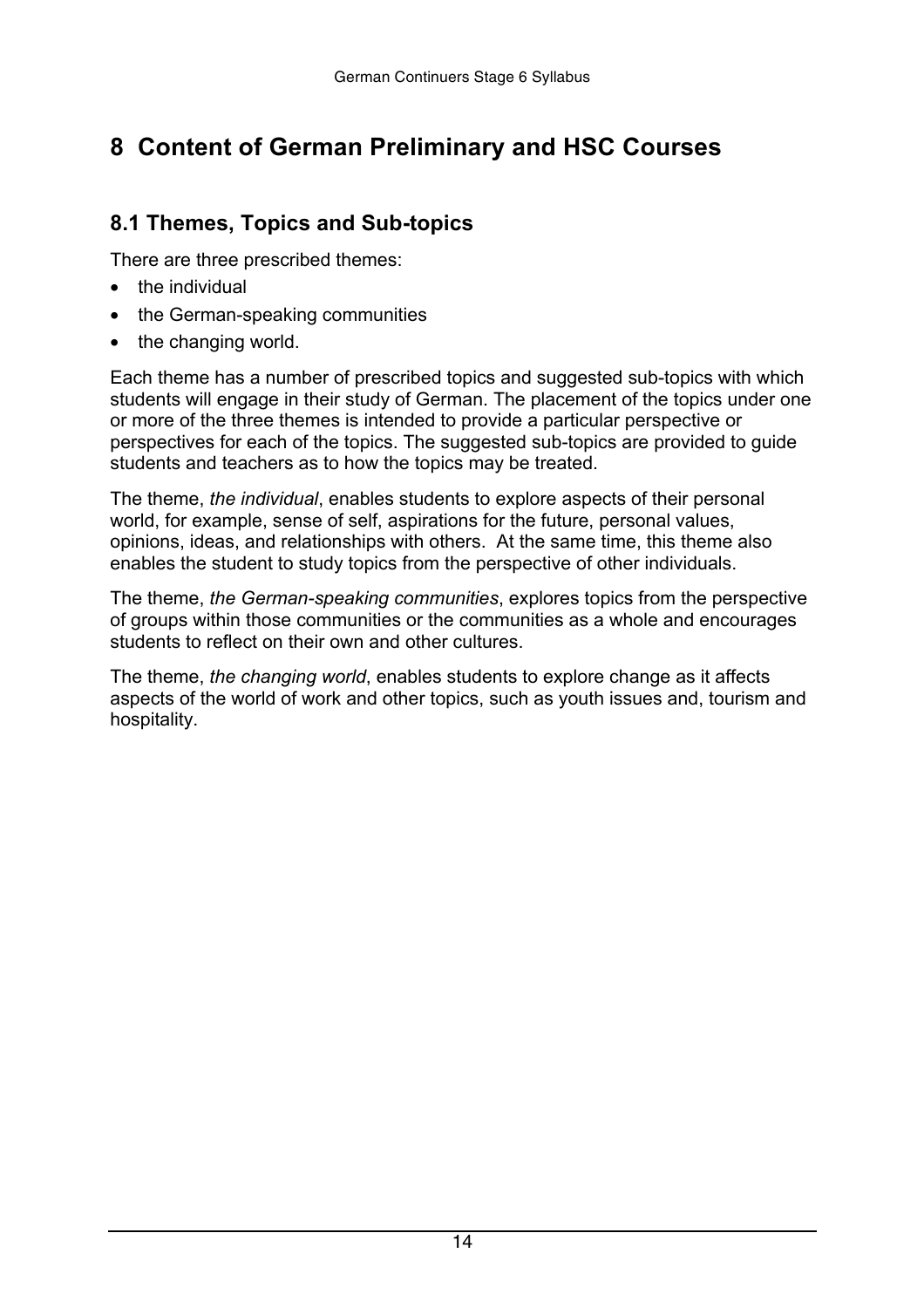# <span id="page-13-0"></span> **8 Content of German Preliminary and HSC Courses**

### **8.1 Themes, Topics and Sub-topics**

There are three prescribed themes:

- the individual
- the German-speaking communities
- the changing world.

Each theme has a number of prescribed topics and suggested sub-topics with which students will engage in their study of German. The placement of the topics under one or more of the three themes is intended to provide a particular perspective or perspectives for each of the topics. The suggested sub-topics are provided to guide students and teachers as to how the topics may be treated.

The theme, *the individual*, enables students to explore aspects of their personal world, for example, sense of self, aspirations for the future, personal values, opinions, ideas, and relationships with others. At the same time, this theme also enables the student to study topics from the perspective of other individuals.

The theme, *the German-speaking communities*, explores topics from the perspective of groups within those communities or the communities as a whole and encourages students to reflect on their own and other cultures.

The theme, *the changing world*, enables students to explore change as it affects aspects of the world of work and other topics, such as youth issues and, tourism and hospitality.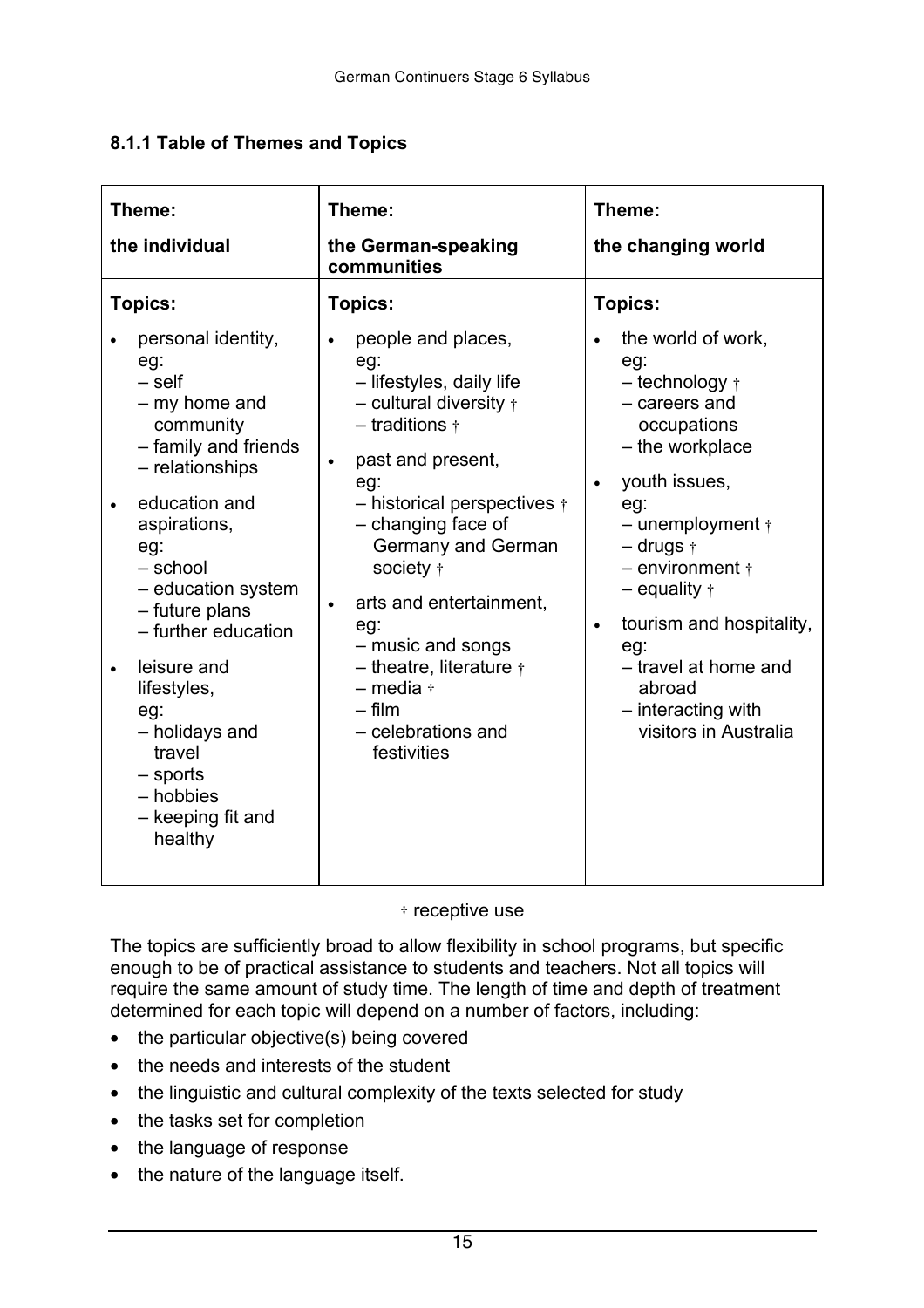#### **8.1.1 Table of Themes and Topics**

| Theme:<br>the individual                                                                                                                                                                                                                                                                                                                                                 | Theme:<br>the German-speaking<br>communities                                                                                                                                                                                                                                                                                                                                                                                          | Theme:<br>the changing world                                                                                                                                                                                                                                                                                                                                                |
|--------------------------------------------------------------------------------------------------------------------------------------------------------------------------------------------------------------------------------------------------------------------------------------------------------------------------------------------------------------------------|---------------------------------------------------------------------------------------------------------------------------------------------------------------------------------------------------------------------------------------------------------------------------------------------------------------------------------------------------------------------------------------------------------------------------------------|-----------------------------------------------------------------------------------------------------------------------------------------------------------------------------------------------------------------------------------------------------------------------------------------------------------------------------------------------------------------------------|
| Topics:<br>personal identity,<br>eg:<br>$-$ self<br>- my home and<br>community<br>- family and friends<br>- relationships<br>education and<br>aspirations,<br>eg:<br>- school<br>- education system<br>- future plans<br>- further education<br>leisure and<br>lifestyles,<br>eg:<br>- holidays and<br>travel<br>$-$ sports<br>- hobbies<br>- keeping fit and<br>healthy | <b>Topics:</b><br>people and places,<br>eg:<br>- lifestyles, daily life<br>- cultural diversity $\dagger$<br>$-$ traditions $\dagger$<br>past and present,<br>eg:<br>- historical perspectives $\dagger$<br>- changing face of<br>Germany and German<br>society +<br>arts and entertainment,<br>eg:<br>- music and songs<br>$-$ theatre, literature $\dagger$<br>$-$ media $\dagger$<br>$-$ film<br>- celebrations and<br>festivities | Topics:<br>the world of work,<br>eg:<br>$-$ technology $\dagger$<br>- careers and<br>occupations<br>- the workplace<br>youth issues,<br>eg:<br>$-$ unemployment $\dagger$<br>$-$ drugs $\dagger$<br>$-$ environment $\dagger$<br>$-$ equality $\dagger$<br>tourism and hospitality,<br>eg:<br>- travel at home and<br>abroad<br>- interacting with<br>visitors in Australia |

† receptive use

The topics are sufficiently broad to allow flexibility in school programs, but specific enough to be of practical assistance to students and teachers. Not all topics will require the same amount of study time. The length of time and depth of treatment determined for each topic will depend on a number of factors, including:

the particular objective(s) being covered

the needs and interests of the student

the linguistic and cultural complexity of the texts selected for study

the tasks set for completion

the language of response

the nature of the language itself.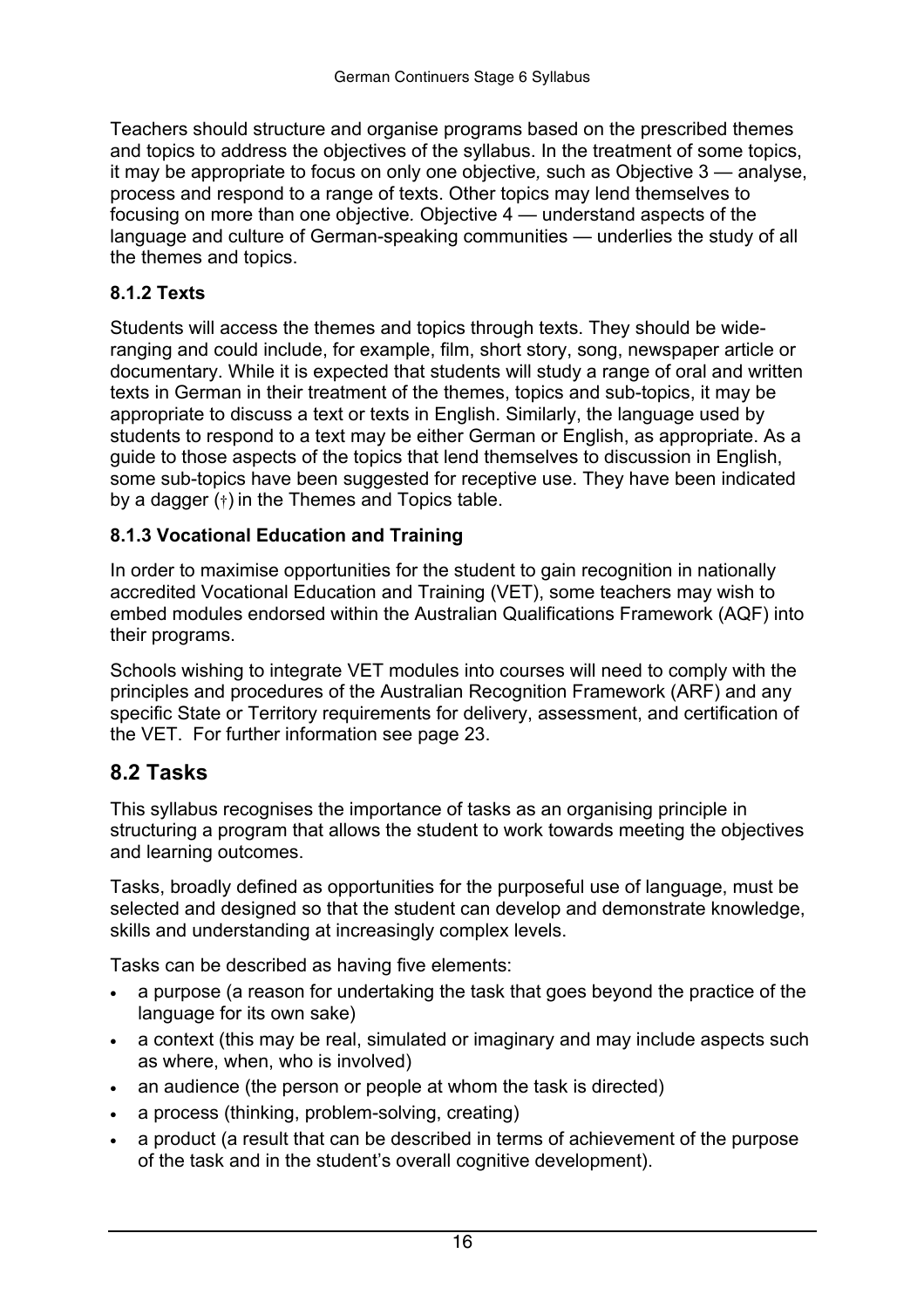<span id="page-15-0"></span>Teachers should structure and organise programs based on the prescribed themes and topics to address the objectives of the syllabus. In the treatment of some topics, it may be appropriate to focus on only one objective*,* such as Objective 3 — analyse, process and respond to a range of texts. Other topics may lend themselves to focusing on more than one objective*.* Objective 4 — understand aspects of the language and culture of German-speaking communities — underlies the study of all the themes and topics.

#### **8.1.2 Texts**

Students will access the themes and topics through texts. They should be wideranging and could include, for example, film, short story, song, newspaper article or documentary. While it is expected that students will study a range of oral and written texts in German in their treatment of the themes, topics and sub-topics, it may be appropriate to discuss a text or texts in English. Similarly, the language used by students to respond to a text may be either German or English, as appropriate. As a guide to those aspects of the topics that lend themselves to discussion in English, some sub-topics have been suggested for receptive use. They have been indicated by a dagger (†) in the Themes and Topics table.

#### **8.1.3 Vocational Education and Training**

In order to maximise opportunities for the student to gain recognition in nationally accredited Vocational Education and Training (VET), some teachers may wish to embed modules endorsed within the Australian Qualifications Framework (AQF) into their programs.

Schools wishing to integrate VET modules into courses will need to comply with the principles and procedures of the Australian Recognition Framework (ARF) and any specific State or Territory requirements for delivery, assessment, and certification of the VET. For further information see page 23.

#### **8.2 Tasks**

This syllabus recognises the importance of tasks as an organising principle in structuring a program that allows the student to work towards meeting the objectives and learning outcomes.

Tasks, broadly defined as opportunities for the purposeful use of language, must be selected and designed so that the student can develop and demonstrate knowledge, skills and understanding at increasingly complex levels.

Tasks can be described as having five elements:

 a purpose (a reason for undertaking the task that goes beyond the practice of the language for its own sake)

 a context (this may be real, simulated or imaginary and may include aspects such as where, when, who is involved)

 an audience (the person or people at whom the task is directed)

 a process (thinking, problem-solving, creating)

 a product (a result that can be described in terms of achievement of the purpose of the task and in the student's overall cognitive development).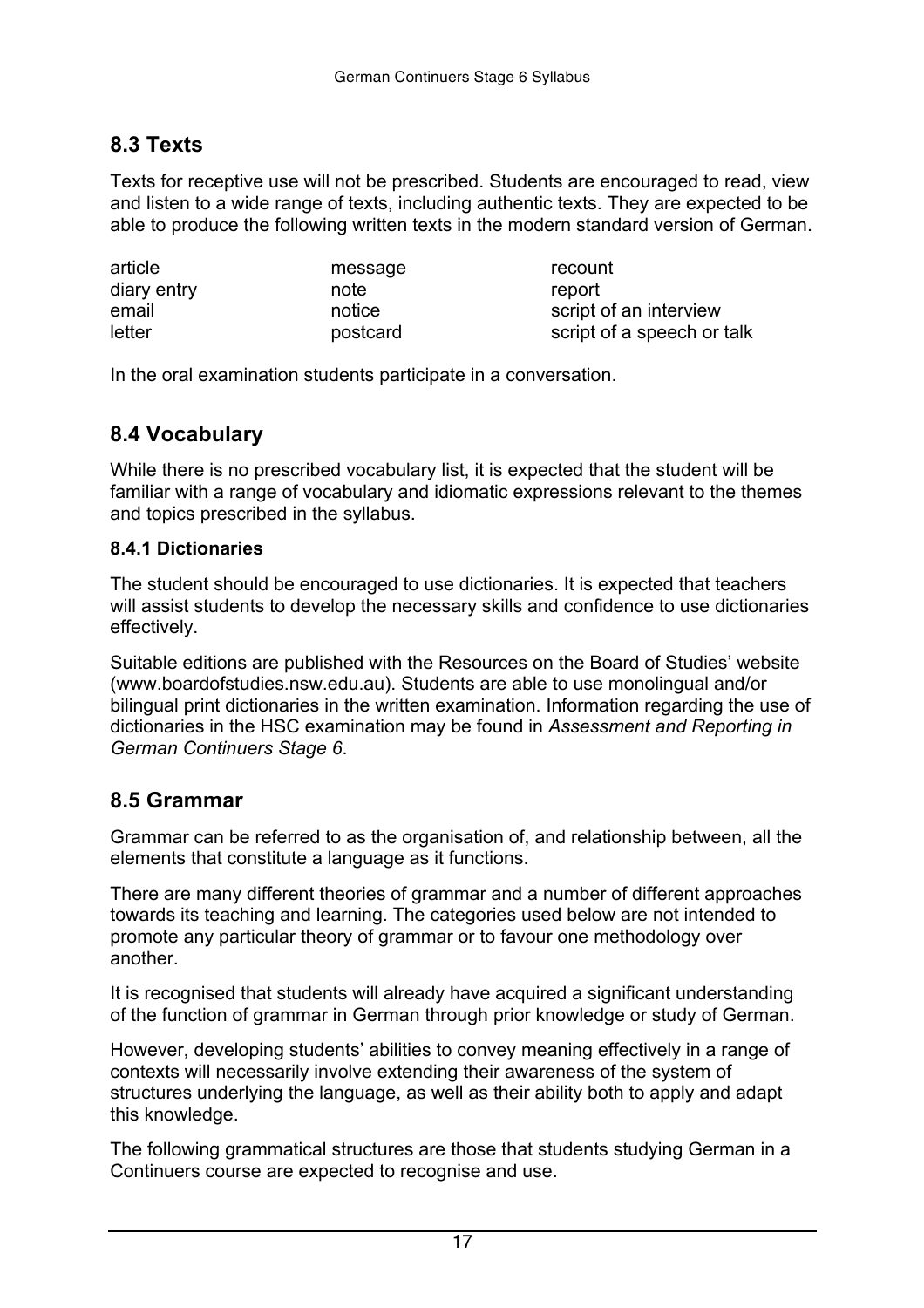### **8.3 Texts**

Texts for receptive use will not be prescribed. Students are encouraged to read, view and listen to a wide range of texts, including authentic texts. They are expected to be able to produce the following written texts in the modern standard version of German.

| article     | message  | recount                    |
|-------------|----------|----------------------------|
| diary entry | note     | report                     |
| email       | notice   | script of an interview     |
| letter      | postcard | script of a speech or talk |

In the oral examination students participate in a conversation.

### **8.4 Vocabulary**

While there is no prescribed vocabulary list, it is expected that the student will be familiar with a range of vocabulary and idiomatic expressions relevant to the themes and topics prescribed in the syllabus.

#### **8.4.1 Dictionaries**

The student should be encouraged to use dictionaries. It is expected that teachers will assist students to develop the necessary skills and confidence to use dictionaries effectively.

Suitable editions are published with the Resources on the Board of Studies' website (www.boardofstudies.nsw.edu.au). Students are able to use monolingual and/or bilingual print dictionaries in the written examination. Information regarding the use of dictionaries in the HSC examination may be found in *Assessment and Reporting in German Continuers Stage 6*.

#### **8.5 Grammar**

Grammar can be referred to as the organisation of, and relationship between, all the elements that constitute a language as it functions.

There are many different theories of grammar and a number of different approaches towards its teaching and learning. The categories used below are not intended to promote any particular theory of grammar or to favour one methodology over another.

It is recognised that students will already have acquired a significant understanding of the function of grammar in German through prior knowledge or study of German.

However, developing students' abilities to convey meaning effectively in a range of contexts will necessarily involve extending their awareness of the system of structures underlying the language, as well as their ability both to apply and adapt this knowledge.

The following grammatical structures are those that students studying German in a Continuers course are expected to recognise and use.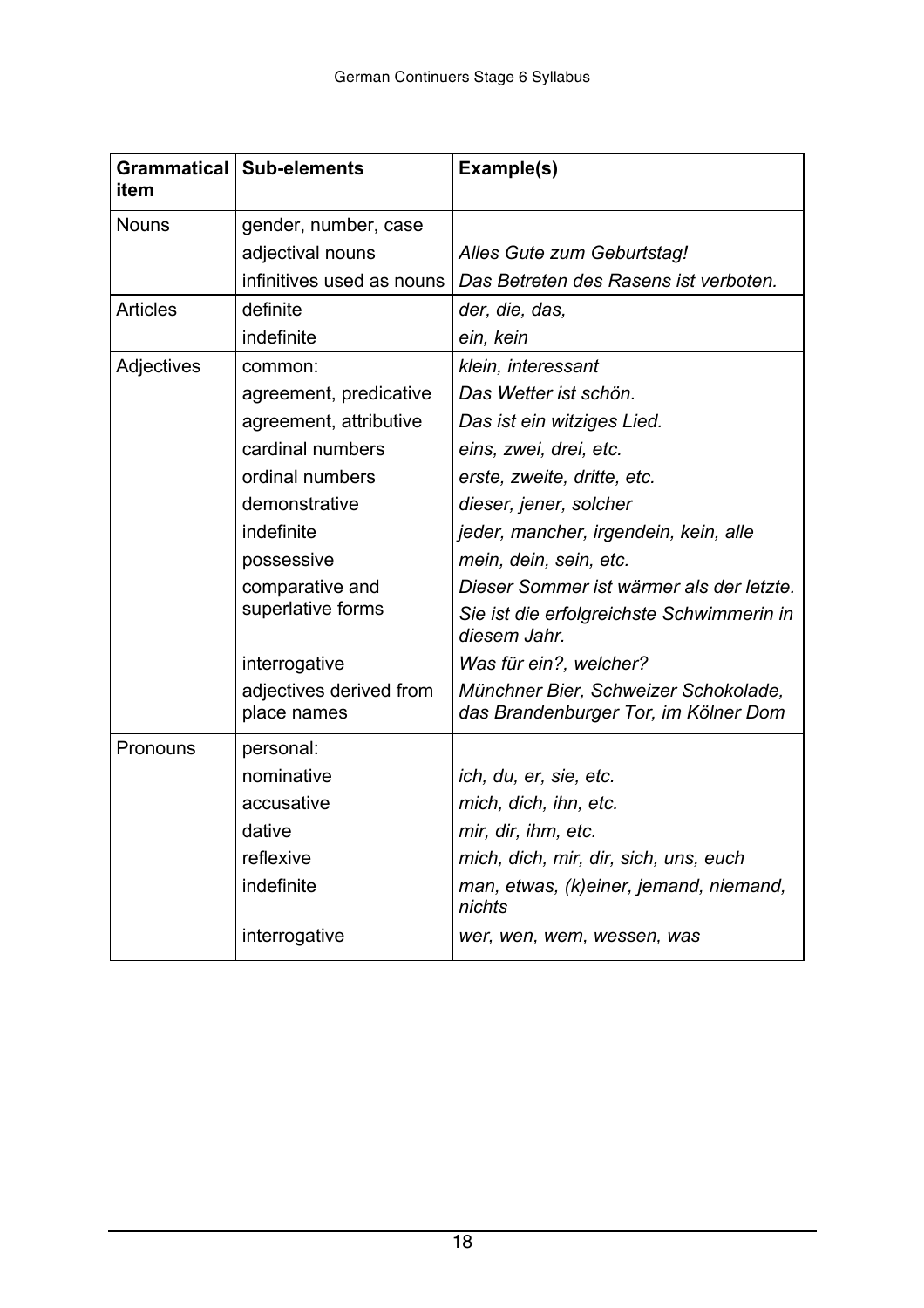| item            | Grammatical   Sub-elements             | Example(s)                                                                   |
|-----------------|----------------------------------------|------------------------------------------------------------------------------|
| <b>Nouns</b>    | gender, number, case                   |                                                                              |
|                 | adjectival nouns                       | Alles Gute zum Geburtstag!                                                   |
|                 | infinitives used as nouns              | Das Betreten des Rasens ist verboten.                                        |
| <b>Articles</b> | definite                               | der, die, das,                                                               |
|                 | indefinite                             | ein, kein                                                                    |
| Adjectives      | common:                                | klein, interessant                                                           |
|                 | agreement, predicative                 | Das Wetter ist schön.                                                        |
|                 | agreement, attributive                 | Das ist ein witziges Lied.                                                   |
|                 | cardinal numbers                       | eins, zwei, drei, etc.                                                       |
|                 | ordinal numbers                        | erste, zweite, dritte, etc.                                                  |
|                 | demonstrative                          | dieser, jener, solcher                                                       |
|                 | indefinite                             | jeder, mancher, irgendein, kein, alle                                        |
|                 | possessive                             | mein, dein, sein, etc.                                                       |
|                 | comparative and                        | Dieser Sommer ist wärmer als der letzte.                                     |
|                 | superlative forms                      | Sie ist die erfolgreichste Schwimmerin in<br>diesem Jahr.                    |
|                 | interrogative                          | Was für ein?, welcher?                                                       |
|                 | adjectives derived from<br>place names | Münchner Bier, Schweizer Schokolade,<br>das Brandenburger Tor, im Kölner Dom |
| Pronouns        | personal:                              |                                                                              |
|                 | nominative                             | ich, du, er, sie, etc.                                                       |
|                 | accusative                             | mich, dich, ihn, etc.                                                        |
|                 | dative                                 | mir, dir, ihm, etc.                                                          |
|                 | reflexive                              | mich, dich, mir, dir, sich, uns, euch                                        |
|                 | indefinite                             | man, etwas, (k)einer, jemand, niemand,<br>nichts                             |
|                 | interrogative                          | wer, wen, wem, wessen, was                                                   |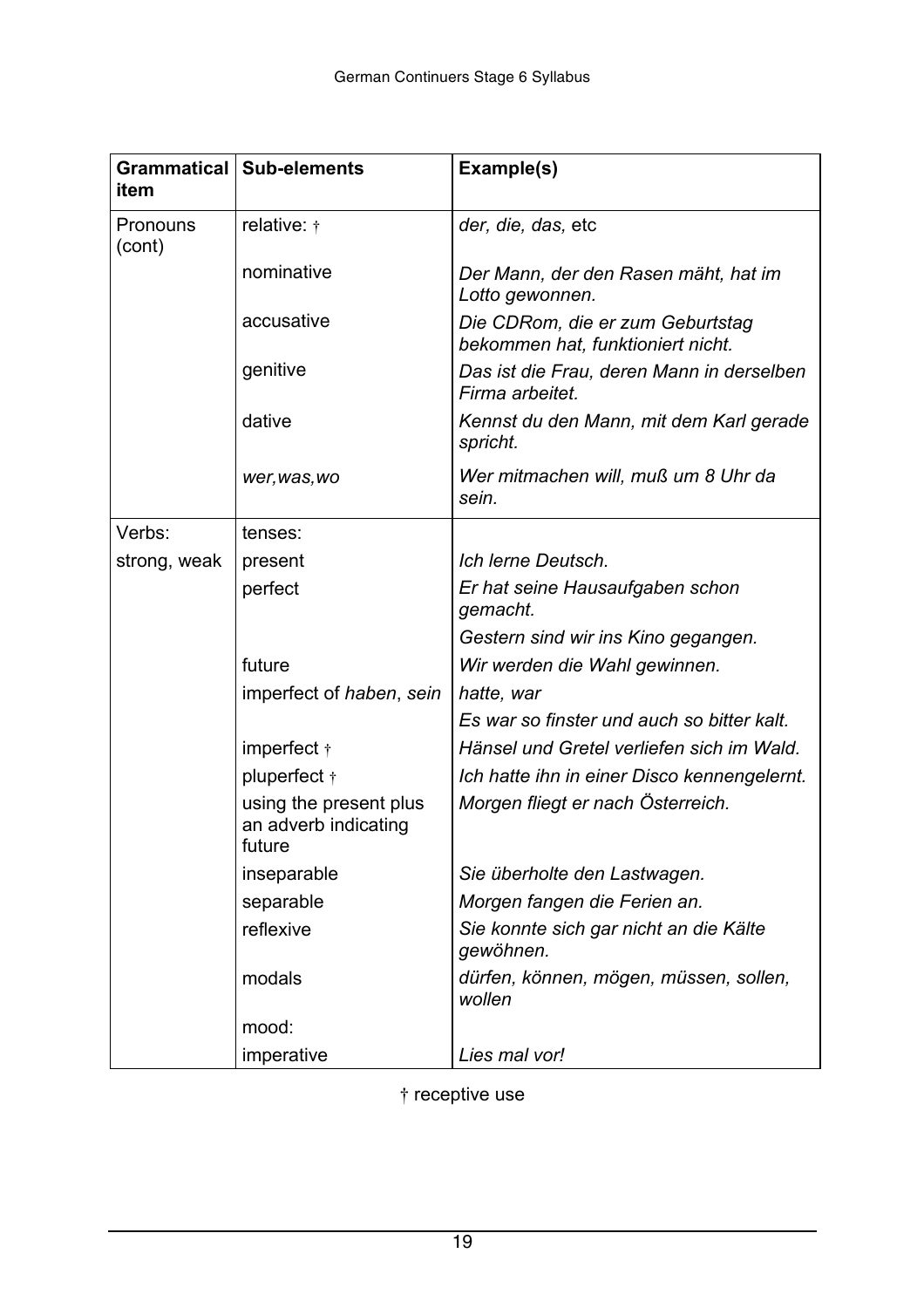| item               | Grammatical   Sub-elements                               | Example(s)                                                            |
|--------------------|----------------------------------------------------------|-----------------------------------------------------------------------|
| Pronouns<br>(cont) | relative: $\dagger$                                      | der, die, das, etc                                                    |
|                    | nominative                                               | Der Mann, der den Rasen mäht, hat im<br>Lotto gewonnen.               |
|                    | accusative                                               | Die CDRom, die er zum Geburtstag<br>bekommen hat, funktioniert nicht. |
|                    | genitive                                                 | Das ist die Frau, deren Mann in derselben<br>Firma arbeitet.          |
|                    | dative                                                   | Kennst du den Mann, mit dem Karl gerade<br>spricht.                   |
|                    | wer, was, wo                                             | Wer mitmachen will, muß um 8 Uhr da<br>sein.                          |
| Verbs:             | tenses:                                                  |                                                                       |
| strong, weak       | present                                                  | Ich lerne Deutsch.                                                    |
|                    | perfect                                                  | Er hat seine Hausaufgaben schon<br>gemacht.                           |
|                    |                                                          | Gestern sind wir ins Kino gegangen.                                   |
|                    | future                                                   | Wir werden die Wahl gewinnen.                                         |
|                    | imperfect of haben, sein                                 | hatte, war                                                            |
|                    |                                                          | Es war so finster und auch so bitter kalt.                            |
|                    | imperfect $\dagger$                                      | Hänsel und Gretel verliefen sich im Wald.                             |
|                    | pluperfect +                                             | Ich hatte ihn in einer Disco kennengelernt.                           |
|                    | using the present plus<br>an adverb indicating<br>future | Morgen fliegt er nach Österreich.                                     |
|                    | inseparable                                              | Sie überholte den Lastwagen.                                          |
|                    | separable                                                | Morgen fangen die Ferien an.                                          |
|                    | reflexive                                                | Sie konnte sich gar nicht an die Kälte<br>gewöhnen.                   |
|                    | modals                                                   | dürfen, können, mögen, müssen, sollen,<br>wollen                      |
|                    | mood:                                                    |                                                                       |
|                    | imperative                                               | Lies mal vor!                                                         |

† receptive use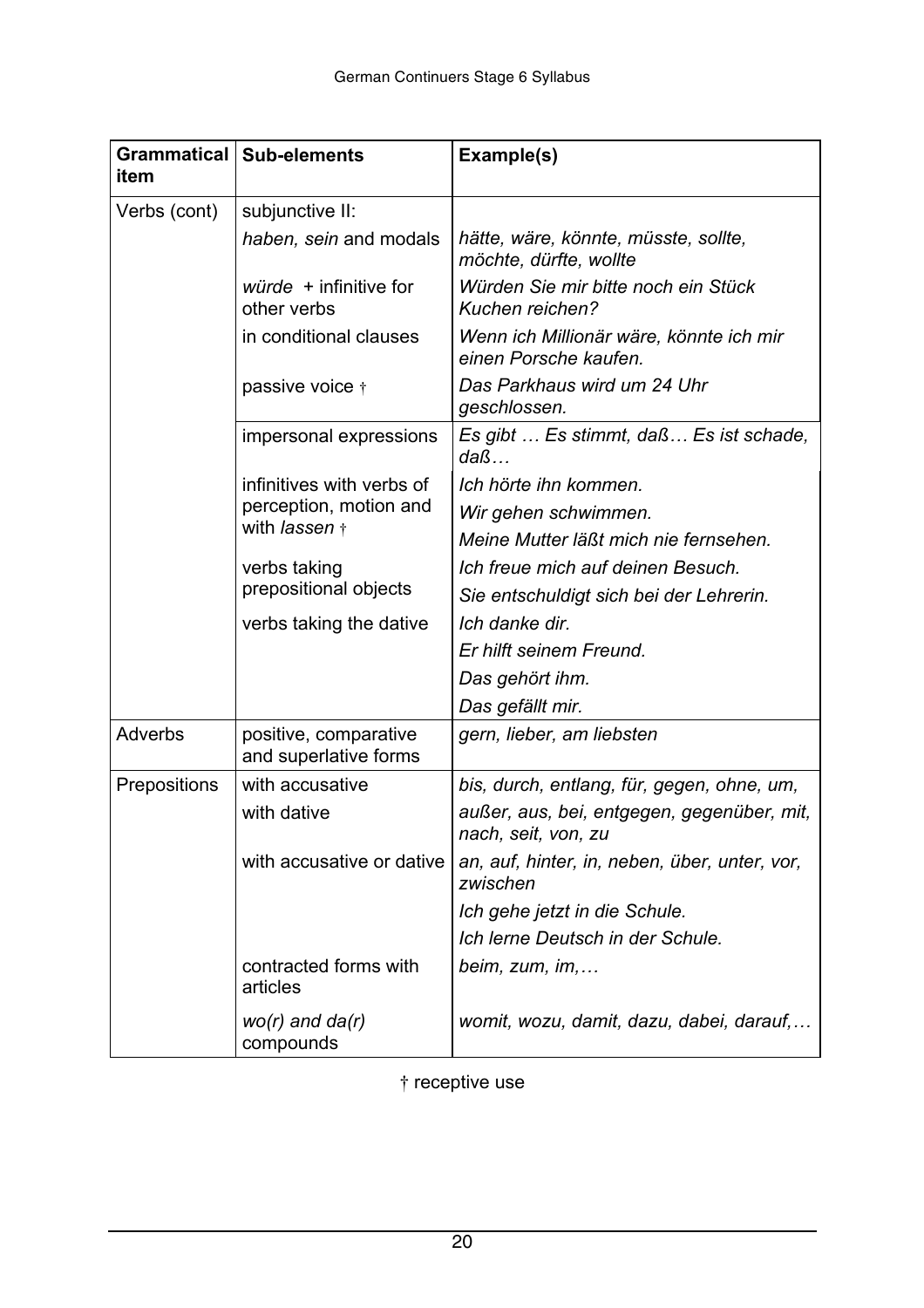| item           | Grammatical   Sub-elements                     | Example(s)                                                        |
|----------------|------------------------------------------------|-------------------------------------------------------------------|
| Verbs (cont)   | subjunctive II:                                |                                                                   |
|                | haben, sein and modals                         | hätte, wäre, könnte, müsste, sollte,<br>möchte, dürfte, wollte    |
|                | <i>würde</i> + infinitive for<br>other verbs   | Würden Sie mir bitte noch ein Stück<br>Kuchen reichen?            |
|                | in conditional clauses                         | Wenn ich Millionär wäre, könnte ich mir<br>einen Porsche kaufen.  |
|                | passive voice †                                | Das Parkhaus wird um 24 Uhr<br>geschlossen.                       |
|                | impersonal expressions                         | Es gibt  Es stimmt, daß Es ist schade,<br>$da\beta$               |
|                | infinitives with verbs of                      | Ich hörte ihn kommen.                                             |
|                | perception, motion and                         | Wir gehen schwimmen.                                              |
|                | with lassen +                                  | Meine Mutter läßt mich nie fernsehen.                             |
|                | verbs taking                                   | Ich freue mich auf deinen Besuch.                                 |
|                | prepositional objects                          | Sie entschuldigt sich bei der Lehrerin.                           |
|                | verbs taking the dative                        | Ich danke dir.                                                    |
|                |                                                | Er hilft seinem Freund.                                           |
|                |                                                | Das gehört ihm.                                                   |
|                |                                                | Das gefällt mir.                                                  |
| <b>Adverbs</b> | positive, comparative<br>and superlative forms | gern, lieber, am liebsten                                         |
| Prepositions   | with accusative                                | bis, durch, entlang, für, gegen, ohne, um,                        |
|                | with dative                                    | außer, aus, bei, entgegen, gegenüber, mit,<br>nach, seit, von, zu |
|                | with accusative or dative                      | an, auf, hinter, in, neben, über, unter, vor,<br>zwischen         |
|                |                                                | Ich gehe jetzt in die Schule.                                     |
|                |                                                | Ich lerne Deutsch in der Schule.                                  |
|                | contracted forms with<br>articles              | beim, $zum$ , im,                                                 |
|                | $wo(r)$ and $da(r)$<br>compounds               | womit, wozu, damit, dazu, dabei, darauf,                          |

† receptive use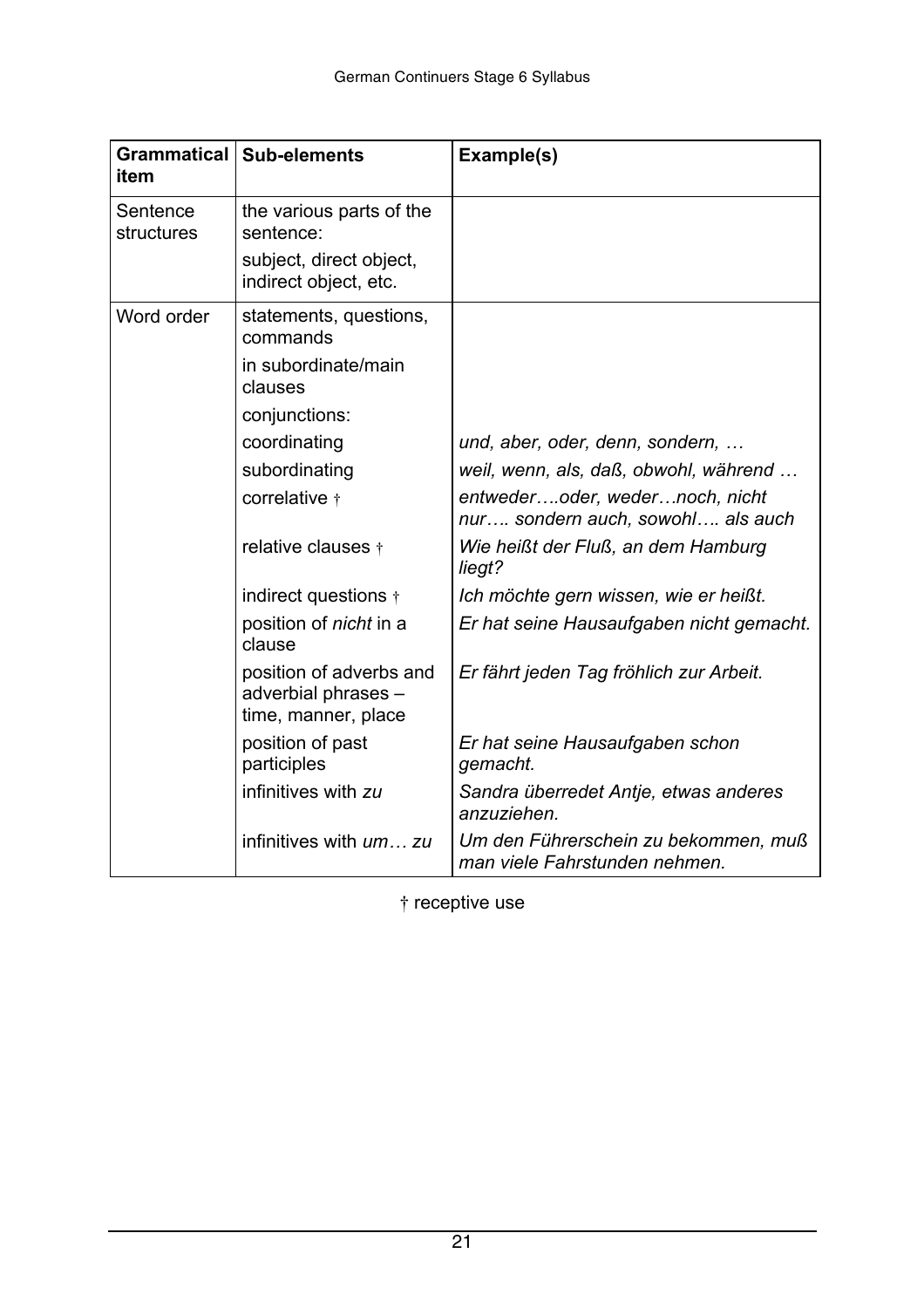| item                   | Grammatical   Sub-elements                                            | Example(s)                                                            |
|------------------------|-----------------------------------------------------------------------|-----------------------------------------------------------------------|
| Sentence<br>structures | the various parts of the<br>sentence:                                 |                                                                       |
|                        | subject, direct object,<br>indirect object, etc.                      |                                                                       |
| Word order             | statements, questions,<br>commands                                    |                                                                       |
|                        | in subordinate/main<br>clauses                                        |                                                                       |
|                        | conjunctions:                                                         |                                                                       |
|                        | coordinating                                                          | und, aber, oder, denn, sondern,                                       |
|                        | subordinating                                                         | weil, wenn, als, daß, obwohl, während                                 |
|                        | correlative +                                                         | entwederoder, wedernoch, nicht<br>nur sondern auch, sowohl als auch   |
|                        | relative clauses +                                                    | Wie heißt der Fluß, an dem Hamburg<br>liegt?                          |
|                        | indirect questions $\dagger$                                          | Ich möchte gern wissen, wie er heißt.                                 |
|                        | position of <i>nicht</i> in a<br>clause                               | Er hat seine Hausaufgaben nicht gemacht.                              |
|                        | position of adverbs and<br>adverbial phrases -<br>time, manner, place | Er fährt jeden Tag fröhlich zur Arbeit.                               |
|                        | position of past<br>participles                                       | Er hat seine Hausaufgaben schon<br>gemacht.                           |
|                        | infinitives with zu                                                   | Sandra überredet Antje, etwas anderes<br>anzuziehen.                  |
|                        | infinitives with um zu                                                | Um den Führerschein zu bekommen, muß<br>man viele Fahrstunden nehmen. |

† receptive use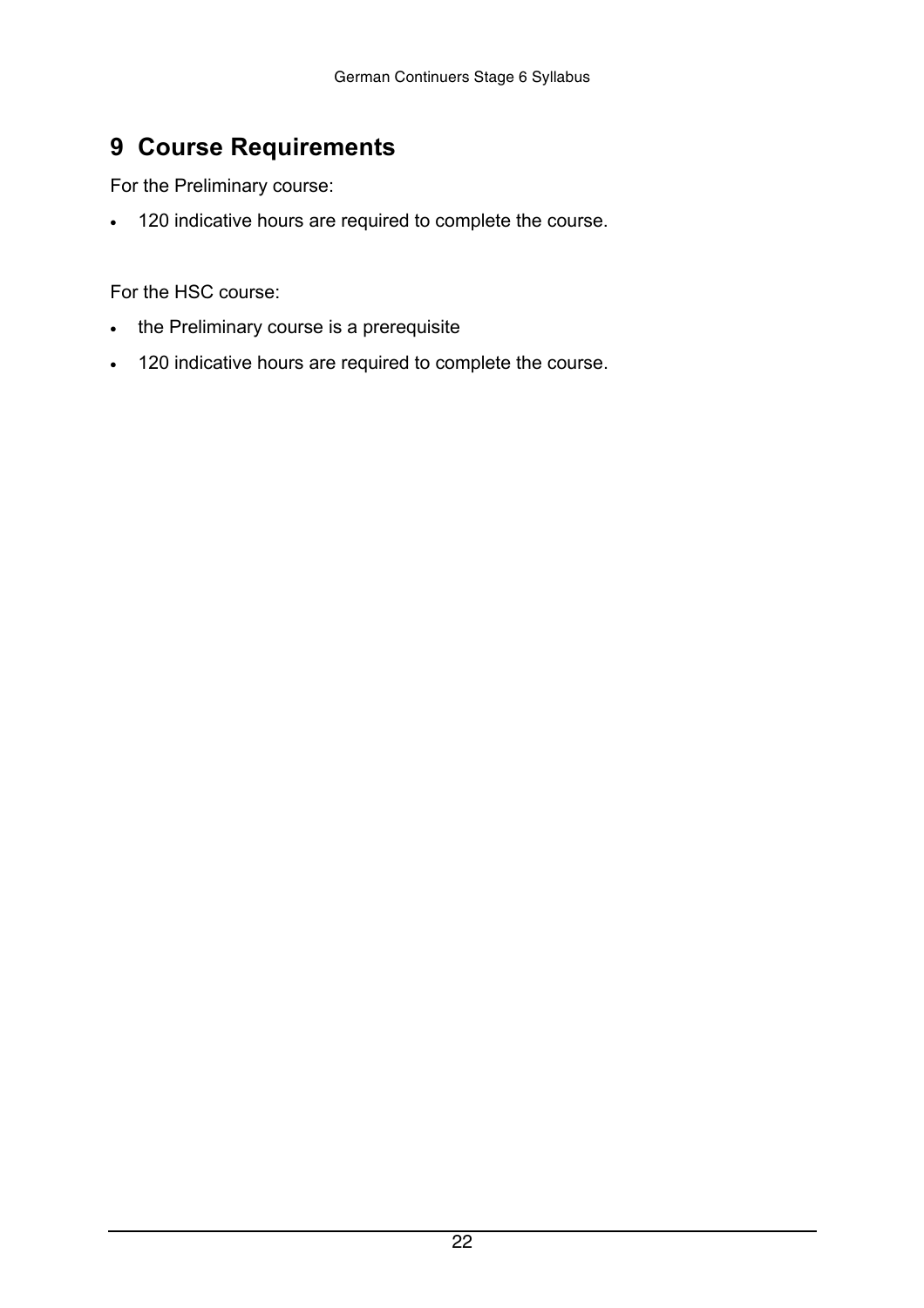## <span id="page-21-0"></span> **9 Course Requirements**

For the Preliminary course:

120 indicative hours are required to complete the course.

For the HSC course:

the Preliminary course is a prerequisite

120 indicative hours are required to complete the course.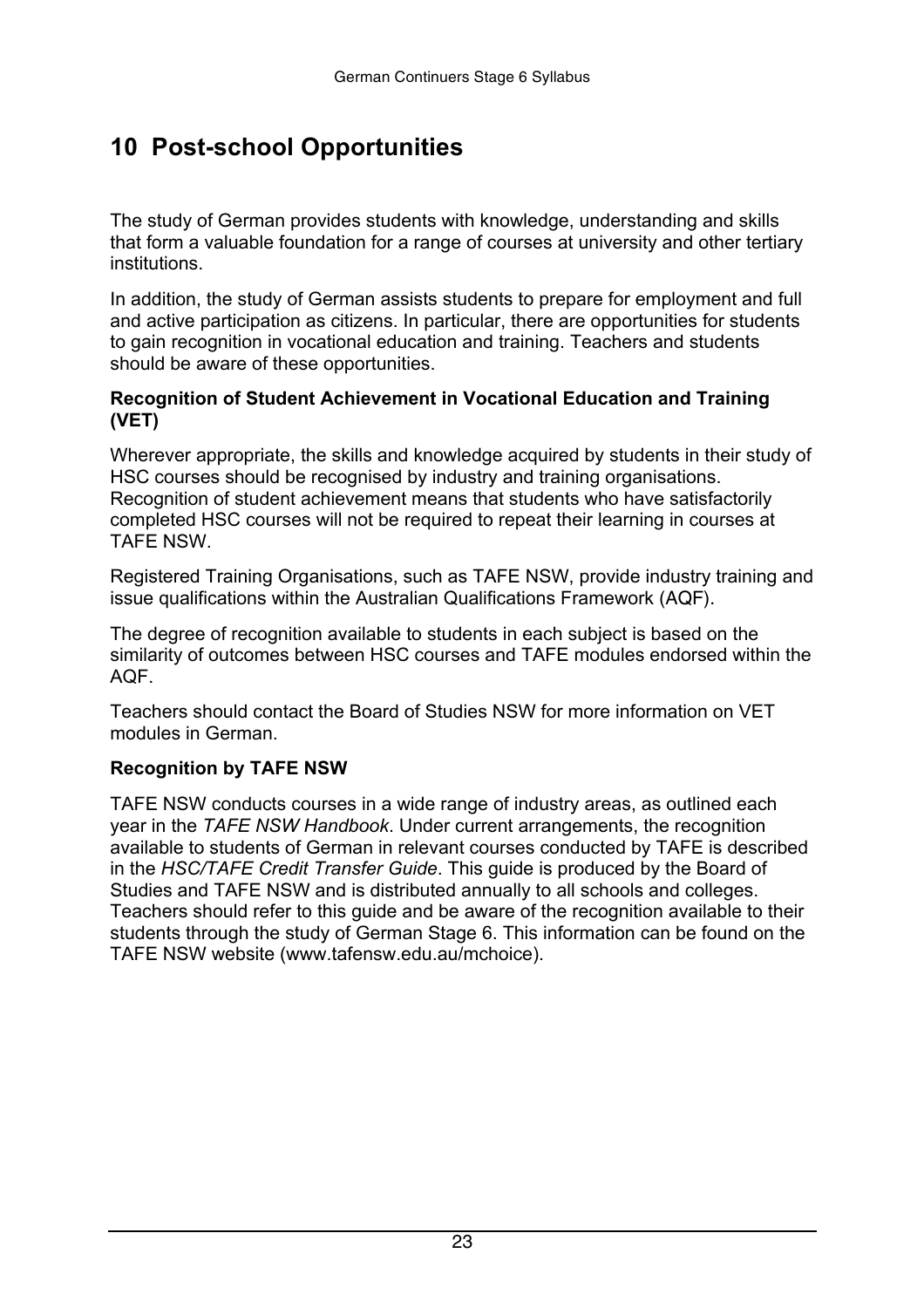# <span id="page-22-0"></span> **10 Post-school Opportunities**

The study of German provides students with knowledge, understanding and skills that form a valuable foundation for a range of courses at university and other tertiary institutions.

In addition, the study of German assists students to prepare for employment and full and active participation as citizens. In particular, there are opportunities for students to gain recognition in vocational education and training. Teachers and students should be aware of these opportunities.

#### **Recognition of Student Achievement in Vocational Education and Training (VET)**

Wherever appropriate, the skills and knowledge acquired by students in their study of HSC courses should be recognised by industry and training organisations. Recognition of student achievement means that students who have satisfactorily completed HSC courses will not be required to repeat their learning in courses at TAFE NSW.

Registered Training Organisations, such as TAFE NSW, provide industry training and issue qualifications within the Australian Qualifications Framework (AQF).

The degree of recognition available to students in each subject is based on the similarity of outcomes between HSC courses and TAFE modules endorsed within the AQF.

Teachers should contact the Board of Studies NSW for more information on VET modules in German.

#### **Recognition by TAFE NSW**

TAFE NSW conducts courses in a wide range of industry areas, as outlined each year in the *TAFE NSW Handbook*. Under current arrangements, the recognition available to students of German in relevant courses conducted by TAFE is described in the *HSC/TAFE Credit Transfer Guide*. This guide is produced by the Board of Studies and TAFE NSW and is distributed annually to all schools and colleges. Teachers should refer to this guide and be aware of the recognition available to their students through the study of German Stage 6. This information can be found on the TAFE NSW website (www.tafensw.edu.au/mchoice).